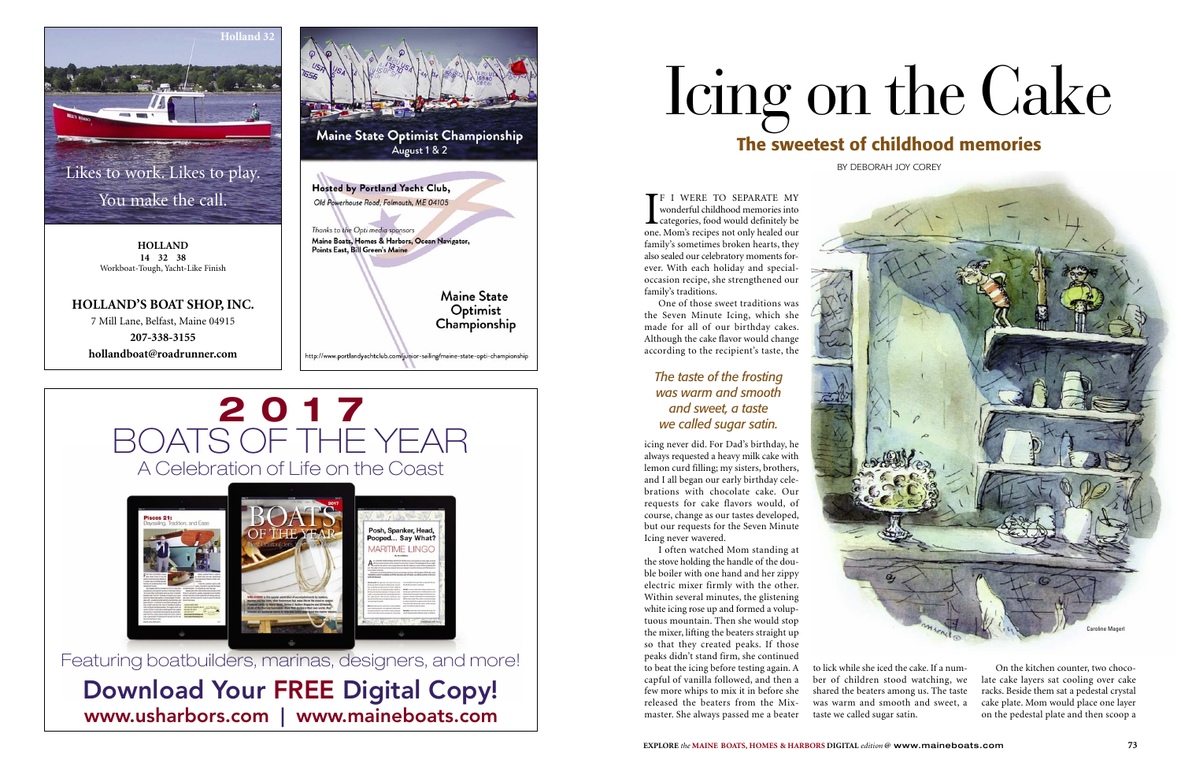I<sub>one</sub> F I WERE TO SEPARATE MY wonderful childhood memories into categories, food would definitely be one. Mom's recipes not only healed our family's sometimes broken hearts, they also sealed our celebratory moments forever. With each holiday and specialoccasion recipe, she strengthened our family's traditions.

One of those sweet traditions was the Seven Minute Icing, which she made for all of our birthday cakes. Although the cake flavor would change according to the recipient's taste, the

icing never did. For Dad's birthday, he always requested a heavy milk cake with lemon curd filling; my sisters, brothers, and I all began our early birthday celebrations with chocolate cake. Our requests for cake flavors would, of course, change as our tastes developed, but our requests for the Seven Minute Icing never wavered.

# Likes to work. Likes to play.<br>You make the call. You make the call.

I often watched Mom standing at the stove holding the handle of the double boiler with one hand and her zippy electric mixer firmly with the other. Within several minutes, the glistening white icing rose up and formed a voluptuous mountain. Then she would stop the mixer, lifting the beaters straight up so that they created peaks. If those peaks didn't stand firm, she continued to beat the icing before testing again. A capful of vanilla followed, and then a few more whips to mix it in before she released the beaters from the Mixmaster. She always passed me a beater

to lick while she iced the cake. If a number of children stood watching, we shared the beaters among us. The taste was warm and smooth and sweet, a taste we called sugar satin.

On the kitchen counter, two chocolate cake layers sat cooling over cake racks. Beside them sat a pedestal crystal cake plate. Mom would place one layer on the pedestal plate and then scoop a

# Icing on the Cake **The sweetest of childhood memories**

BY DEBORAH JOY COREY

### *The taste of the frosting was warm and smooth and sweet, a taste we called sugar satin.*





**HOLLAND 14 32 38** Workboat-Tough, Yacht-Like Finish

#### **HOLLAND'S BOAT SHOP, INC.**

7 Mill Lane, Belfast, Maine 04915 **207-338-3155 hollandboat@roadrunner.com**



# **2017** BOATS OF THE YEAR A Celebration of Life on the Coast



Featuring boatbuilders, marinas, designers, and more! Download Your FREE Digital Copy!

www.usharbors.com | www.maineboats.com